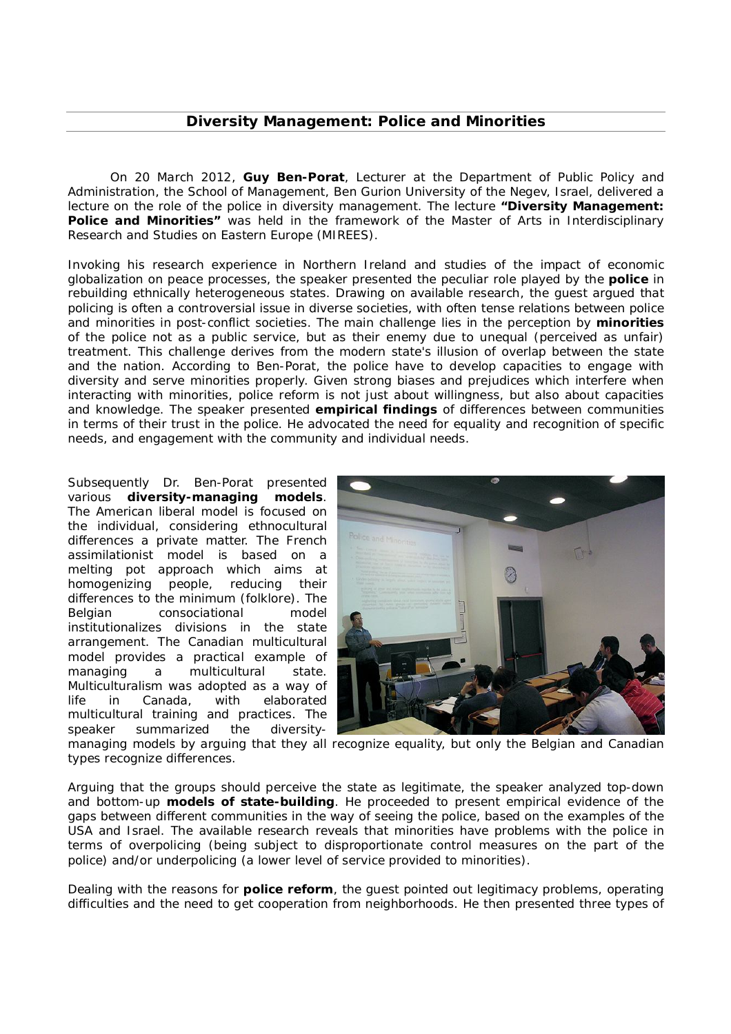## **Diversity Management: Police and Minorities**

On 20 March 2012, **Guy Ben-Porat**, Lecturer at the Department of Public Policy and Administration, the School of Management, Ben Gurion University of the Negev, Israel, delivered a lecture on the role of the police in diversity management. The lecture **"Diversity Management: Police and Minorities"** was held in the framework of the Master of Arts in Interdisciplinary Research and Studies on Eastern Europe (MIREES).

Invoking his research experience in Northern Ireland and studies of the impact of economic globalization on peace processes, the speaker presented the peculiar role played by the **police** in rebuilding ethnically heterogeneous states. Drawing on available research, the guest argued that policing is often a controversial issue in diverse societies, with often tense relations between police and minorities in post-conflict societies. The main challenge lies in the perception by **minorities** of the police not as a public service, but as their enemy due to unequal (perceived as unfair) treatment. This challenge derives from the modern state's illusion of overlap between the state and the nation. According to Ben-Porat, the police have to develop capacities to engage with diversity and serve minorities properly. Given strong biases and prejudices which interfere when interacting with minorities, police reform is not just about willingness, but also about capacities and knowledge. The speaker presented **empirical findings** of differences between communities in terms of their trust in the police. He advocated the need for equality and recognition of specific needs, and engagement with the community and individual needs.

Subsequently Dr. Ben-Porat presented various **diversity-managing models**. The American liberal model is focused on the individual, considering ethnocultural differences a private matter. The French assimilationist model is based on a melting pot approach which aims at homogenizing people, reducing their differences to the minimum (folklore). The Belgian consociational model institutionalizes divisions in the state arrangement. The Canadian multicultural model provides a practical example of managing a multicultural state. Multiculturalism was adopted as a way of life in Canada, with elaborated multicultural training and practices. The speaker summarized the diversity-



managing models by arguing that they all recognize equality, but only the Belgian and Canadian types recognize differences.

Arguing that the groups should perceive the state as legitimate, the speaker analyzed top-down and bottom-up **models of state-building**. He proceeded to present empirical evidence of the gaps between different communities in the way of seeing the police, based on the examples of the USA and Israel. The available research reveals that minorities have problems with the police in terms of overpolicing (being subject to disproportionate control measures on the part of the police) and/or underpolicing (a lower level of service provided to minorities).

Dealing with the reasons for **police reform**, the guest pointed out legitimacy problems, operating difficulties and the need to get cooperation from neighborhoods. He then presented three types of